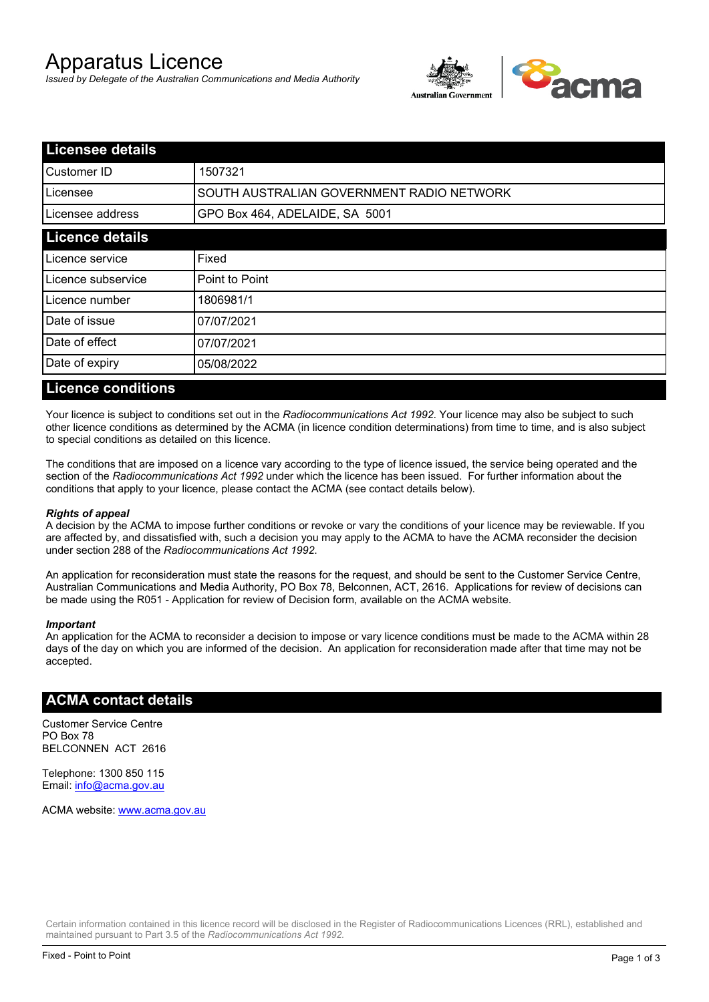# Apparatus Licence

*Issued by Delegate of the Australian Communications and Media Authority*



| <b>Licensee details</b> |                                           |  |
|-------------------------|-------------------------------------------|--|
| Customer ID             | 1507321                                   |  |
| ILicensee               | SOUTH AUSTRALIAN GOVERNMENT RADIO NETWORK |  |
| Licensee address        | GPO Box 464, ADELAIDE, SA 5001            |  |
| <b>Licence details</b>  |                                           |  |
| Licence service         | Fixed                                     |  |
| Licence subservice      | Point to Point                            |  |
| Licence number          | 1806981/1                                 |  |
| Date of issue           | 07/07/2021                                |  |
| Date of effect          | 07/07/2021                                |  |
| Date of expiry          | 05/08/2022                                |  |
|                         |                                           |  |

#### **Licence conditions**

Your licence is subject to conditions set out in the *Radiocommunications Act 1992*. Your licence may also be subject to such other licence conditions as determined by the ACMA (in licence condition determinations) from time to time, and is also subject to special conditions as detailed on this licence.

The conditions that are imposed on a licence vary according to the type of licence issued, the service being operated and the section of the *Radiocommunications Act 1992* under which the licence has been issued. For further information about the conditions that apply to your licence, please contact the ACMA (see contact details below).

#### *Rights of appeal*

A decision by the ACMA to impose further conditions or revoke or vary the conditions of your licence may be reviewable. If you are affected by, and dissatisfied with, such a decision you may apply to the ACMA to have the ACMA reconsider the decision under section 288 of the *Radiocommunications Act 1992*.

An application for reconsideration must state the reasons for the request, and should be sent to the Customer Service Centre, Australian Communications and Media Authority, PO Box 78, Belconnen, ACT, 2616. Applications for review of decisions can be made using the R051 - Application for review of Decision form, available on the ACMA website.

#### *Important*

An application for the ACMA to reconsider a decision to impose or vary licence conditions must be made to the ACMA within 28 days of the day on which you are informed of the decision. An application for reconsideration made after that time may not be accepted.

#### **ACMA contact details**

Customer Service Centre PO Box 78 BELCONNEN ACT 2616

Telephone: 1300 850 115 Email: info@acma.gov.au

ACMA website: www.acma.gov.au

Certain information contained in this licence record will be disclosed in the Register of Radiocommunications Licences (RRL), established and maintained pursuant to Part 3.5 of the *Radiocommunications Act 1992.*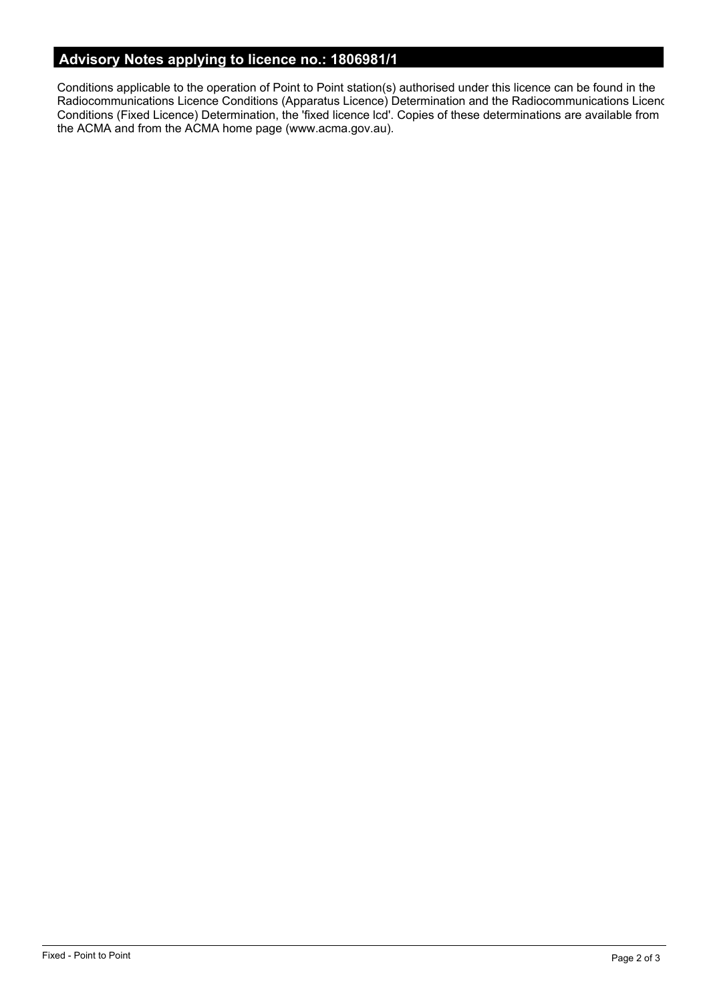# **Advisory Notes applying to licence no.: 1806981/1**

Conditions applicable to the operation of Point to Point station(s) authorised under this licence can be found in the Radiocommunications Licence Conditions (Apparatus Licence) Determination and the Radiocommunications Licence Conditions (Fixed Licence) Determination, the 'fixed licence lcd'. Copies of these determinations are available from the ACMA and from the ACMA home page (www.acma.gov.au).